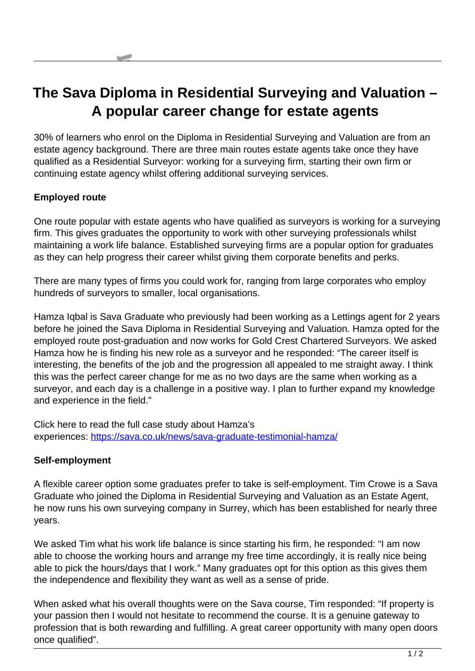## **The Sava Diploma in Residential Surveying and Valuation – A popular career change for estate agents**

30% of learners who enrol on the Diploma in Residential Surveying and Valuation are from an estate agency background. There are three main routes estate agents take once they have qualified as a Residential Surveyor: working for a surveying firm, starting their own firm or continuing estate agency whilst offering additional surveying services.

## **Employed route**

One route popular with estate agents who have qualified as surveyors is working for a surveying firm. This gives graduates the opportunity to work with other surveying professionals whilst maintaining a work life balance. Established surveying firms are a popular option for graduates as they can help progress their career whilst giving them corporate benefits and perks.

There are many types of firms you could work for, ranging from large corporates who employ hundreds of surveyors to smaller, local organisations.

Hamza Iqbal is Sava Graduate who previously had been working as a Lettings agent for 2 years before he joined the Sava Diploma in Residential Surveying and Valuation. Hamza opted for the employed route post-graduation and now works for Gold Crest Chartered Surveyors. We asked Hamza how he is finding his new role as a surveyor and he responded: "The career itself is interesting, the benefits of the job and the progression all appealed to me straight away. I think this was the perfect career change for me as no two days are the same when working as a surveyor, and each day is a challenge in a positive way. I plan to further expand my knowledge and experience in the field."

Click here to read the full case study about Hamza's experiences: <https://sava.co.uk/news/sava-graduate-testimonial-hamza/>

## **Self-employment**

A flexible career option some graduates prefer to take is self-employment. Tim Crowe is a Sava Graduate who joined the Diploma in Residential Surveying and Valuation as an Estate Agent, he now runs his own surveying company in Surrey, which has been established for nearly three years.

We asked Tim what his work life balance is since starting his firm, he responded: "I am now able to choose the working hours and arrange my free time accordingly, it is really nice being able to pick the hours/days that I work." Many graduates opt for this option as this gives them the independence and flexibility they want as well as a sense of pride.

When asked what his overall thoughts were on the Sava course, Tim responded: "If property is your passion then I would not hesitate to recommend the course. It is a genuine gateway to profession that is both rewarding and fulfilling. A great career opportunity with many open doors once qualified".